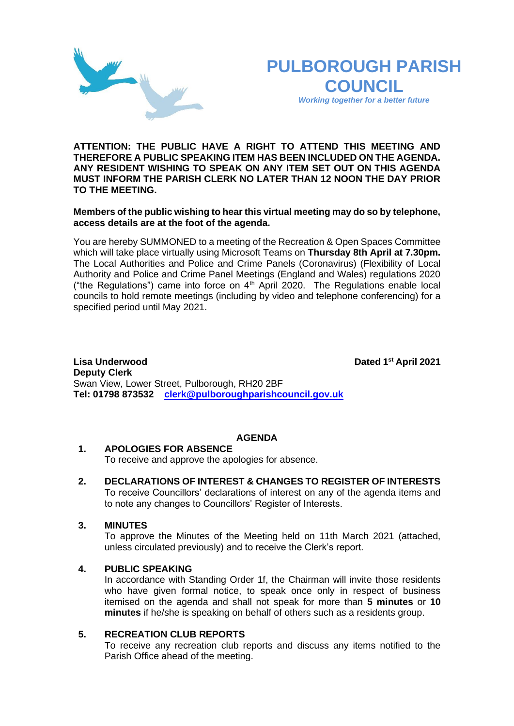

*Working together for a better future*

**ATTENTION: THE PUBLIC HAVE A RIGHT TO ATTEND THIS MEETING AND THEREFORE A PUBLIC SPEAKING ITEM HAS BEEN INCLUDED ON THE AGENDA. ANY RESIDENT WISHING TO SPEAK ON ANY ITEM SET OUT ON THIS AGENDA MUST INFORM THE PARISH CLERK NO LATER THAN 12 NOON THE DAY PRIOR TO THE MEETING.**

### **Members of the public wishing to hear this virtual meeting may do so by telephone, access details are at the foot of the agenda.**

You are hereby SUMMONED to a meeting of the Recreation & Open Spaces Committee which will take place virtually using Microsoft Teams on **Thursday 8th April at 7.30pm.**  The Local Authorities and Police and Crime Panels (Coronavirus) (Flexibility of Local Authority and Police and Crime Panel Meetings (England and Wales) regulations 2020 ("the Regulations") came into force on  $4<sup>th</sup>$  April 2020. The Regulations enable local councils to hold remote meetings (including by video and telephone conferencing) for a specified period until May 2021.

**Lisa Underwood st April 2021 Deputy Clerk**  Swan View, Lower Street, Pulborough, RH20 2BF **Tel: 01798 873532 [clerk@pulboroughparishcouncil.gov.uk](mailto:clerk@pulboroughparishcouncil.gov.uk)**

# **AGENDA**

# **1. APOLOGIES FOR ABSENCE**

To receive and approve the apologies for absence.

**2. DECLARATIONS OF INTEREST & CHANGES TO REGISTER OF INTERESTS** To receive Councillors' declarations of interest on any of the agenda items and to note any changes to Councillors' Register of Interests.

### **3. MINUTES**

To approve the Minutes of the Meeting held on 11th March 2021 (attached, unless circulated previously) and to receive the Clerk's report.

### **4. PUBLIC SPEAKING**

In accordance with Standing Order 1f, the Chairman will invite those residents who have given formal notice, to speak once only in respect of business itemised on the agenda and shall not speak for more than **5 minutes** or **10 minutes** if he/she is speaking on behalf of others such as a residents group.

### **5. RECREATION CLUB REPORTS**

To receive any recreation club reports and discuss any items notified to the Parish Office ahead of the meeting.